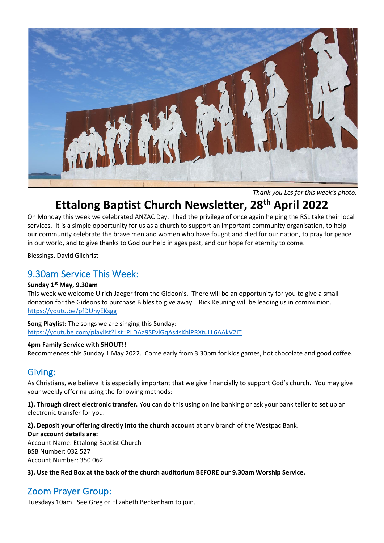

*Thank you Les for this week's photo.*

# **Ettalong Baptist Church Newsletter, 28th April 2022**

On Monday this week we celebrated ANZAC Day. I had the privilege of once again helping the RSL take their local services. It is a simple opportunity for us as a church to support an important community organisation, to help our community celebrate the brave men and women who have fought and died for our nation, to pray for peace in our world, and to give thanks to God our help in ages past, and our hope for eternity to come.

Blessings, David Gilchrist

# 9.30am Service This Week:

#### **Sunday 1st May, 9.30am**

This week we welcome Ulrich Jaeger from the Gideon's. There will be an opportunity for you to give a small donation for the Gideons to purchase Bibles to give away. Rick Keuning will be leading us in communion. <https://youtu.be/pfDUhyEKsgg>

**Song Playlist:** The songs we are singing this Sunday: <https://youtube.com/playlist?list=PLDAa9SEvlGqAs4sKhlPRXtuLL6AAkV2IT>

#### **4pm Family Service with SHOUT!!**

Recommences this Sunday 1 May 2022. Come early from 3.30pm for kids games, hot chocolate and good coffee.

# Giving:

As Christians, we believe it is especially important that we give financially to support God's church. You may give your weekly offering using the following methods:

**1). Through direct electronic transfer.** You can do this using online banking or ask your bank teller to set up an electronic transfer for you.

**2). Deposit your offering directly into the church account** at any branch of the Westpac Bank.

**Our account details are:**  Account Name: Ettalong Baptist Church BSB Number: 032 527 Account Number: 350 062

**3). Use the Red Box at the back of the church auditorium BEFORE our 9.30am Worship Service.** 

# Zoom Prayer Group:

Tuesdays 10am. See Greg or Elizabeth Beckenham to join.